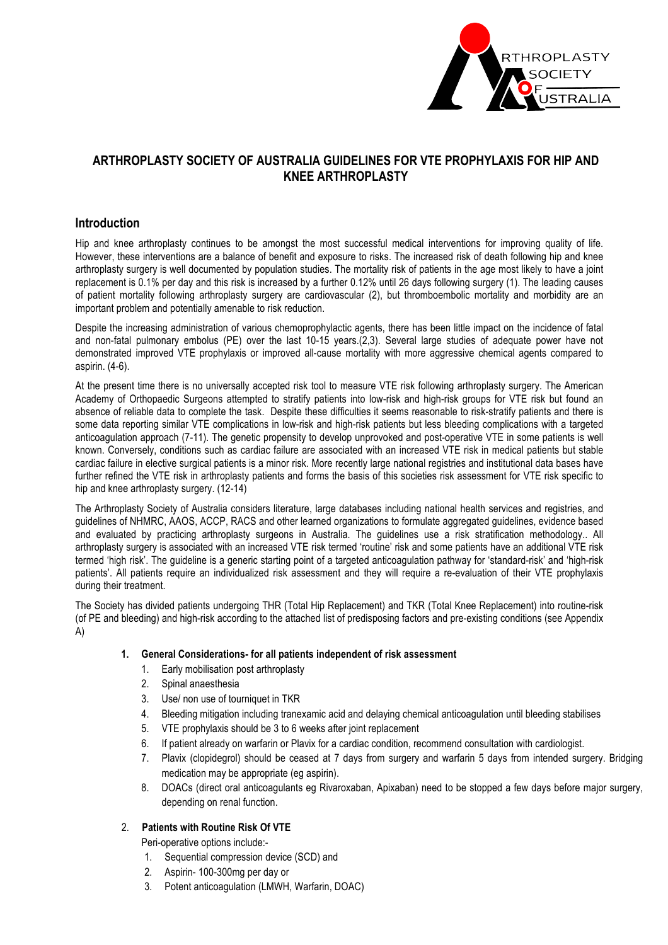

## **ARTHROPLASTY SOCIETY OF AUSTRALIA GUIDELINES FOR VTE PROPHYLAXIS FOR HIP AND KNEE ARTHROPLASTY**

### **Introduction**

Hip and knee arthroplasty continues to be amongst the most successful medical interventions for improving quality of life. However, these interventions are a balance of benefit and exposure to risks. The increased risk of death following hip and knee arthroplasty surgery is well documented by population studies. The mortality risk of patients in the age most likely to have a joint replacement is 0.1% per day and this risk is increased by a further 0.12% until 26 days following surgery (1). The leading causes of patient mortality following arthroplasty surgery are cardiovascular (2), but thromboembolic mortality and morbidity are an important problem and potentially amenable to risk reduction.

Despite the increasing administration of various chemoprophylactic agents, there has been little impact on the incidence of fatal and non-fatal pulmonary embolus (PE) over the last 10-15 years.(2,3). Several large studies of adequate power have not demonstrated improved VTE prophylaxis or improved all-cause mortality with more aggressive chemical agents compared to aspirin. (4-6).

At the present time there is no universally accepted risk tool to measure VTE risk following arthroplasty surgery. The American Academy of Orthopaedic Surgeons attempted to stratify patients into low-risk and high-risk groups for VTE risk but found an absence of reliable data to complete the task. Despite these difficulties it seems reasonable to risk-stratify patients and there is some data reporting similar VTE complications in low-risk and high-risk patients but less bleeding complications with a targeted anticoagulation approach (7-11). The genetic propensity to develop unprovoked and post-operative VTE in some patients is well known. Conversely, conditions such as cardiac failure are associated with an increased VTE risk in medical patients but stable cardiac failure in elective surgical patients is a minor risk. More recently large national registries and institutional data bases have further refined the VTE risk in arthroplasty patients and forms the basis of this societies risk assessment for VTE risk specific to hip and knee arthroplasty surgery. (12-14)

The Arthroplasty Society of Australia considers literature, large databases including national health services and registries, and guidelines of NHMRC, AAOS, ACCP, RACS and other learned organizations to formulate aggregated guidelines, evidence based and evaluated by practicing arthroplasty surgeons in Australia. The guidelines use a risk stratification methodology.. All arthroplasty surgery is associated with an increased VTE risk termed 'routine' risk and some patients have an additional VTE risk termed 'high risk'. The guideline is a generic starting point of a targeted anticoagulation pathway for 'standard-risk' and 'high-risk patients'. All patients require an individualized risk assessment and they will require a re-evaluation of their VTE prophylaxis during their treatment.

The Society has divided patients undergoing THR (Total Hip Replacement) and TKR (Total Knee Replacement) into routine-risk (of PE and bleeding) and high-risk according to the attached list of predisposing factors and pre-existing conditions (see Appendix A)

#### **1. General Considerations- for all patients independent of risk assessment**

- 1. Early mobilisation post arthroplasty
- 2. Spinal anaesthesia
- 3. Use/ non use of tourniquet in TKR
- 4. Bleeding mitigation including tranexamic acid and delaying chemical anticoagulation until bleeding stabilises
- 5. VTE prophylaxis should be 3 to 6 weeks after joint replacement
- 6. If patient already on warfarin or Plavix for a cardiac condition, recommend consultation with cardiologist.
- 7. Plavix (clopidegrol) should be ceased at 7 days from surgery and warfarin 5 days from intended surgery. Bridging medication may be appropriate (eg aspirin).
- 8. DOACs (direct oral anticoagulants eg Rivaroxaban, Apixaban) need to be stopped a few days before major surgery, depending on renal function.

#### 2. **Patients with Routine Risk Of VTE**

Peri-operative options include:-

- 1. Sequential compression device (SCD) and
- 2. Aspirin- 100-300mg per day or
- 3. Potent anticoagulation (LMWH, Warfarin, DOAC)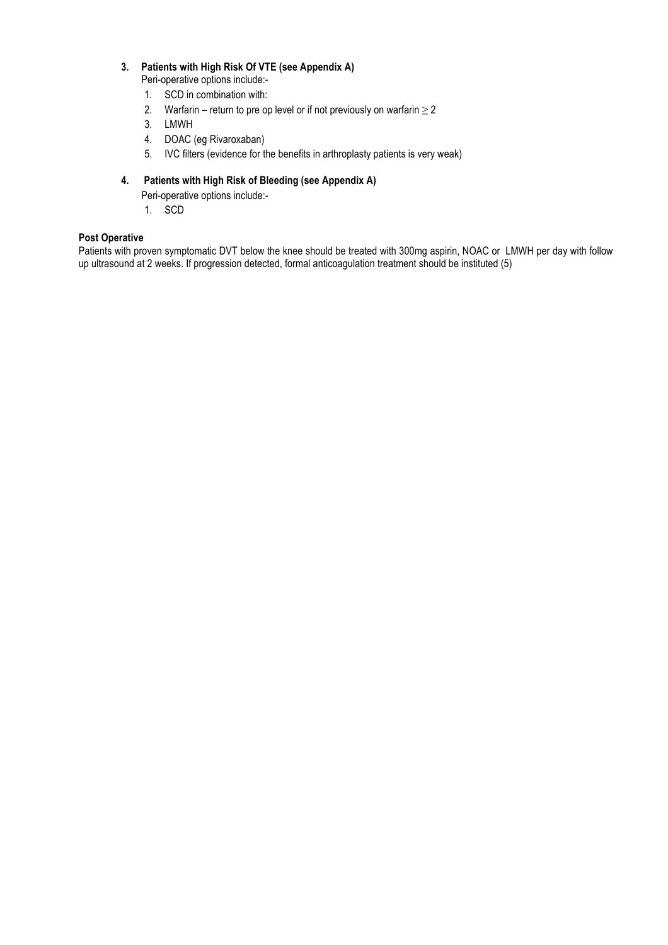### **3. Patients with High Risk Of VTE (see Appendix A)**

Peri-operative options include:-

- 1. SCD in combination with:
- 2. Warfarin return to pre op level or if not previously on warfarin  $\geq 2$
- 3. LMWH
- 4. DOAC (eg Rivaroxaban)
- 5. IVC filters (evidence for the benefits in arthroplasty patients is very weak)

### **4. Patients with High Risk of Bleeding (see Appendix A)**

Peri-operative options include:-

1. SCD

#### **Post Operative**

Patients with proven symptomatic DVT below the knee should be treated with 300mg aspirin, NOAC or LMWH per day with follow up ultrasound at 2 weeks. If progression detected, formal anticoagulation treatment should be instituted (5)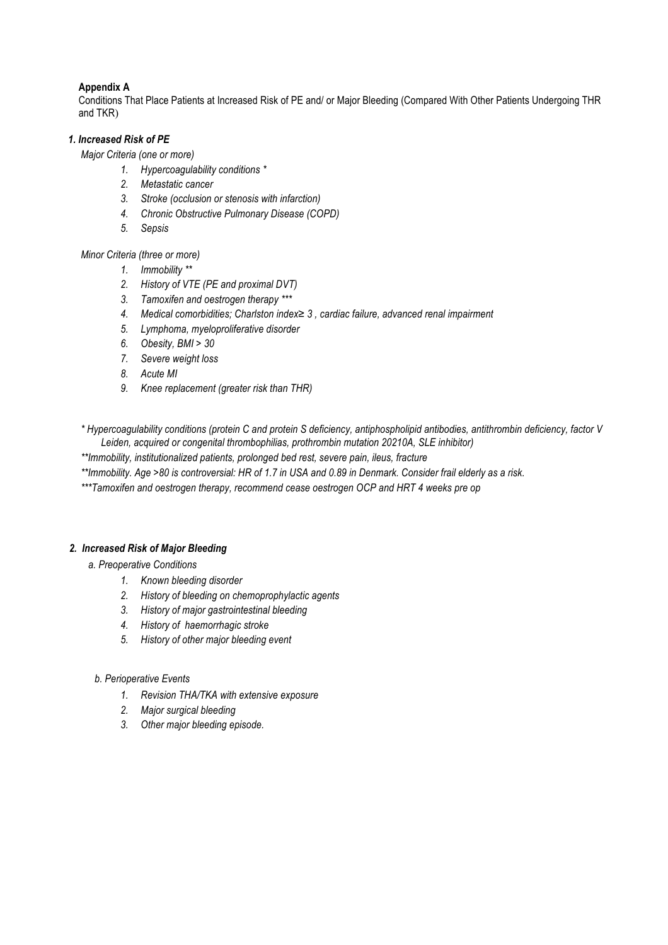### **Appendix A**

Conditions That Place Patients at Increased Risk of PE and/ or Major Bleeding (Compared With Other Patients Undergoing THR and TKR)

#### *1. Increased Risk of PE*

*Major Criteria (one or more)*

- *1. Hypercoagulability conditions \**
- *2. Metastatic cancer*
- *3. Stroke (occlusion or stenosis with infarction)*
- *4. Chronic Obstructive Pulmonary Disease (COPD)*
- *5. Sepsis*

#### *Minor Criteria (three or more)*

- *1. Immobility \*\**
- *2. History of VTE (PE and proximal DVT)*
- *3. Tamoxifen and oestrogen therapy \*\*\**
- *4. Medical comorbidities; Charlston index≥ 3 , cardiac failure, advanced renal impairment*
- *5. Lymphoma, myeloproliferative disorder*
- *6. Obesity, BMI > 30*
- *7. Severe weight loss*
- *8. Acute MI*
- *9. Knee replacement (greater risk than THR)*
- *\* Hypercoagulability conditions (protein C and protein S deficiency, antiphospholipid antibodies, antithrombin deficiency, factor V Leiden, acquired or congenital thrombophilias, prothrombin mutation 20210A, SLE inhibitor)*

*\*\*Immobility, institutionalized patients, prolonged bed rest, severe pain, ileus, fracture*

*\*\*Immobility. Age >80 is controversial: HR of 1.7 in USA and 0.89 in Denmark. Consider frail elderly as a risk.*

*\*\*\*Tamoxifen and oestrogen therapy, recommend cease oestrogen OCP and HRT 4 weeks pre op*

#### *2. Increased Risk of Major Bleeding*

- *a. Preoperative Conditions*
	- *1. Known bleeding disorder*
	- *2. History of bleeding on chemoprophylactic agents*
	- *3. History of major gastrointestinal bleeding*
	- *4. History of haemorrhagic stroke*
	- *5. History of other major bleeding event*

#### *b. Perioperative Events*

- *1. Revision THA/TKA with extensive exposure*
- *2. Major surgical bleeding*
- *3. Other major bleeding episode.*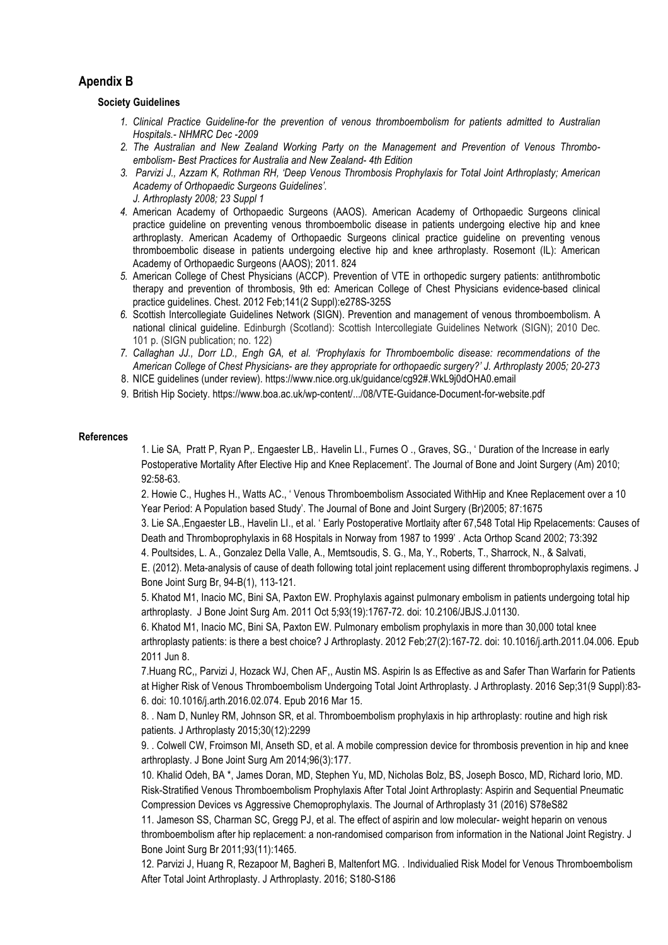## **Apendix B**

#### **Society Guidelines**

- *1. Clinical Practice Guideline-for the prevention of venous thromboembolism for patients admitted to Australian Hospitals.- NHMRC Dec -2009*
- *2. The Australian and New Zealand Working Party on the Management and Prevention of Venous Thromboembolism- Best Practices for Australia and New Zealand- 4th Edition*
- *3. Parvizi J., Azzam K, Rothman RH, 'Deep Venous Thrombosis Prophylaxis for Total Joint Arthroplasty; American Academy of Orthopaedic Surgeons Guidelines'. J. Arthroplasty 2008; 23 Suppl 1*
- *4.* American Academy of Orthopaedic Surgeons (AAOS). American Academy of Orthopaedic Surgeons clinical practice guideline on preventing venous thromboembolic disease in patients undergoing elective hip and knee arthroplasty. American Academy of Orthopaedic Surgeons clinical practice guideline on preventing venous thromboembolic disease in patients undergoing elective hip and knee arthroplasty. Rosemont (IL): American Academy of Orthopaedic Surgeons (AAOS); 2011. 824
- *5.* American College of Chest Physicians (ACCP). Prevention of VTE in orthopedic surgery patients: antithrombotic therapy and prevention of thrombosis, 9th ed: American College of Chest Physicians evidence-based clinical practice guidelines. Chest. 2012 Feb;141(2 Suppl):e278S-325S
- *6.* Scottish Intercollegiate Guidelines Network (SIGN). Prevention and management of venous thromboembolism. A national clinical guideline. Edinburgh (Scotland): Scottish Intercollegiate Guidelines Network (SIGN); 2010 Dec. 101 p. (SIGN publication; no. 122)
- *7. Callaghan JJ., Dorr LD., Engh GA, et al. 'Prophylaxis for Thromboembolic disease: recommendations of the American College of Chest Physicians- are they appropriate for orthopaedic surgery?' J. Arthroplasty 2005; 20-273*
- 8. NICE guidelines (under review). https://www.nice.org.uk/guidance/cg92#.WkL9j0dOHA0.email
- 9. British Hip Society. https://www.boa.ac.uk/wp-content/.../08/VTE-Guidance-Document-for-website.pdf

#### **References**

1. Lie SA, Pratt P, Ryan P,. Engaester LB,. Havelin LI., Furnes O ., Graves, SG., ' Duration of the Increase in early Postoperative Mortality After Elective Hip and Knee Replacement'. The Journal of Bone and Joint Surgery (Am) 2010; 92:58-63.

2. Howie C., Hughes H., Watts AC., ' Venous Thromboembolism Associated WithHip and Knee Replacement over a 10 Year Period: A Population based Study'. The Journal of Bone and Joint Surgery (Br)2005; 87:1675

3. Lie SA.,Engaester LB., Havelin LI., et al. ' Early Postoperative Mortlaity after 67,548 Total Hip Rpelacements: Causes of Death and Thromboprophylaxis in 68 Hospitals in Norway from 1987 to 1999' . Acta Orthop Scand 2002; 73:392

4. Poultsides, L. A., Gonzalez Della Valle, A., Memtsoudis, S. G., Ma, Y., Roberts, T., Sharrock, N., & Salvati,

E. (2012). Meta-analysis of cause of death following total joint replacement using different thromboprophylaxis regimens. J Bone Joint Surg Br, 94-B(1), 113-121.

5. Khatod M1, Inacio MC, Bini SA, Paxton EW. Prophylaxis against pulmonary embolism in patients undergoing total hip arthroplasty. J Bone Joint Surg Am. 2011 Oct 5;93(19):1767-72. doi: 10.2106/JBJS.J.01130.

6. Khatod M1, Inacio MC, Bini SA, Paxton EW. Pulmonary embolism prophylaxis in more than 30,000 total knee arthroplasty patients: is there a best choice? J Arthroplasty. 2012 Feb;27(2):167-72. doi: 10.1016/j.arth.2011.04.006. Epub 2011 Jun 8.

7.Huang RC,, Parvizi J, Hozack WJ, Chen AF,, Austin MS. Aspirin Is as Effective as and Safer Than Warfarin for Patients at Higher Risk of Venous Thromboembolism Undergoing Total Joint Arthroplasty. J Arthroplasty. 2016 Sep;31(9 Suppl):83- 6. doi: 10.1016/j.arth.2016.02.074. Epub 2016 Mar 15.

8. . Nam D, Nunley RM, Johnson SR, et al. Thromboembolism prophylaxis in hip arthroplasty: routine and high risk patients. J Arthroplasty 2015;30(12):2299

9. . Colwell CW, Froimson MI, Anseth SD, et al. A mobile compression device for thrombosis prevention in hip and knee arthroplasty. J Bone Joint Surg Am 2014;96(3):177.

10. Khalid Odeh, BA \*, James Doran, MD, Stephen Yu, MD, Nicholas Bolz, BS, Joseph Bosco, MD, Richard Iorio, MD. Risk-Stratified Venous Thromboembolism Prophylaxis After Total Joint Arthroplasty: Aspirin and Sequential Pneumatic Compression Devices vs Aggressive Chemoprophylaxis. The Journal of Arthroplasty 31 (2016) S78eS82

11. Jameson SS, Charman SC, Gregg PJ, et al. The effect of aspirin and low molecular- weight heparin on venous thromboembolism after hip replacement: a non-randomised comparison from information in the National Joint Registry. J Bone Joint Surg Br 2011;93(11):1465.

12. Parvizi J, Huang R, Rezapoor M, Bagheri B, Maltenfort MG. . Individualied Risk Model for Venous Thromboembolism After Total Joint Arthroplasty. J Arthroplasty. 2016; S180-S186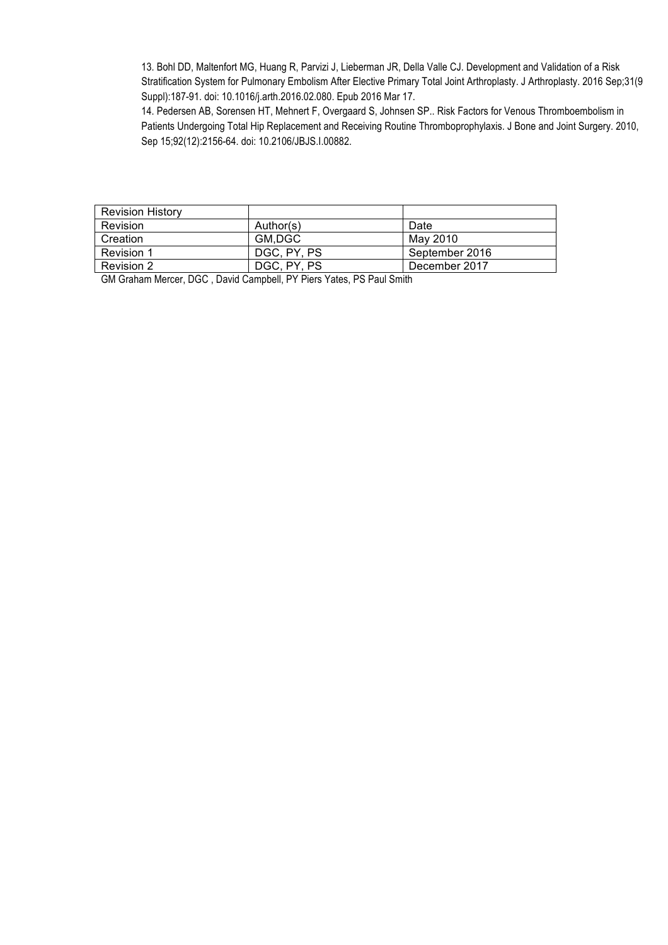13. Bohl DD, Maltenfort MG, Huang R, Parvizi J, Lieberman JR, Della Valle CJ. Development and Validation of a Risk Stratification System for Pulmonary Embolism After Elective Primary Total Joint Arthroplasty. J Arthroplasty. 2016 Sep;31(9 Suppl):187-91. doi: 10.1016/j.arth.2016.02.080. Epub 2016 Mar 17.

14. Pedersen AB, Sorensen HT, Mehnert F, Overgaard S, Johnsen SP.. Risk Factors for Venous Thromboembolism in Patients Undergoing Total Hip Replacement and Receiving Routine Thromboprophylaxis. J Bone and Joint Surgery. 2010, Sep 15;92(12):2156-64. doi: 10.2106/JBJS.I.00882.

| <b>Revision History</b> |             |                |
|-------------------------|-------------|----------------|
| Revision                | Author(s)   | Date           |
| Creation                | GM.DGC      | May 2010       |
| Revision 1              | DGC, PY, PS | September 2016 |
| Revision 2              | DGC, PY, PS | December 2017  |

GM Graham Mercer, DGC , David Campbell, PY Piers Yates, PS Paul Smith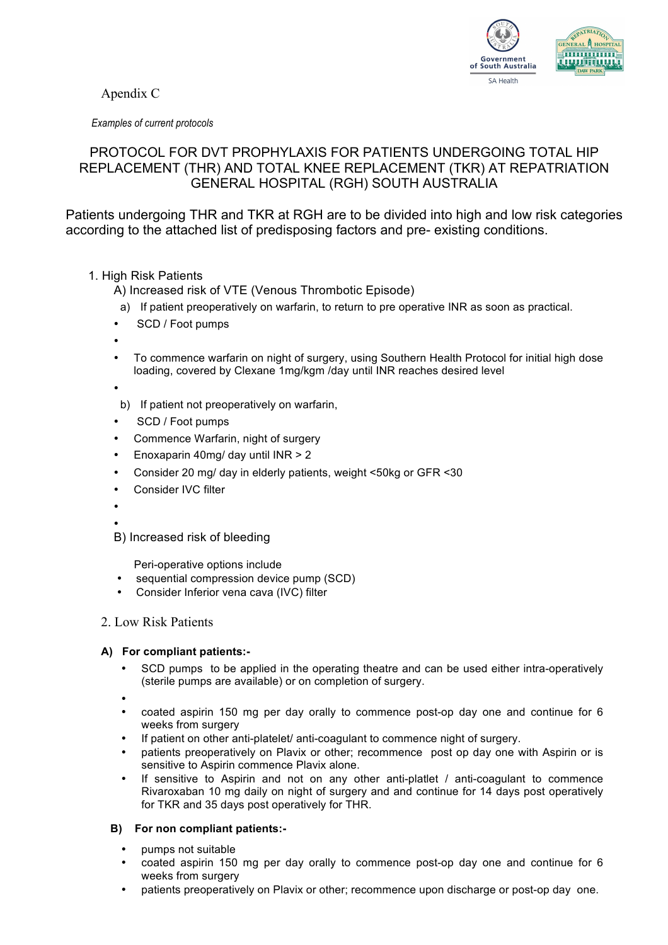Apendix C



*Examples of current protocols*

## PROTOCOL FOR DVT PROPHYLAXIS FOR PATIENTS UNDERGOING TOTAL HIP REPLACEMENT (THR) AND TOTAL KNEE REPLACEMENT (TKR) AT REPATRIATION GENERAL HOSPITAL (RGH) SOUTH AUSTRALIA

Patients undergoing THR and TKR at RGH are to be divided into high and low risk categories according to the attached list of predisposing factors and pre- existing conditions.

1. High Risk Patients

A) Increased risk of VTE (Venous Thrombotic Episode)

- a) If patient preoperatively on warfarin, to return to pre operative INR as soon as practical.
- SCD / Foot pumps
- •
- To commence warfarin on night of surgery, using Southern Health Protocol for initial high dose loading, covered by Clexane 1mg/kgm /day until INR reaches desired level
- - b) If patient not preoperatively on warfarin,
- SCD / Foot pumps
- Commence Warfarin, night of surgery
- Enoxaparin 40mg/ day until INR > 2
- Consider 20 mg/ day in elderly patients, weight <50kg or GFR <30
- Consider IVC filter
- •
- •
- B) Increased risk of bleeding

Peri-operative options include

- sequential compression device pump (SCD)
- Consider Inferior vena cava (IVC) filter

## 2. Low Risk Patients

#### **A) For compliant patients:-**

- SCD pumps to be applied in the operating theatre and can be used either intra-operatively (sterile pumps are available) or on completion of surgery.
- •
- coated aspirin 150 mg per day orally to commence post-op day one and continue for 6 weeks from surgery
- If patient on other anti-platelet/ anti-coagulant to commence night of surgery.
- patients preoperatively on Plavix or other; recommence post op day one with Aspirin or is sensitive to Aspirin commence Plavix alone.
- If sensitive to Aspirin and not on any other anti-platlet / anti-coagulant to commence Rivaroxaban 10 mg daily on night of surgery and and continue for 14 days post operatively for TKR and 35 days post operatively for THR.

## **B) For non compliant patients:-**

- pumps not suitable
- coated aspirin 150 mg per day orally to commence post-op day one and continue for 6 weeks from surgery
- patients preoperatively on Plavix or other; recommence upon discharge or post-op day one.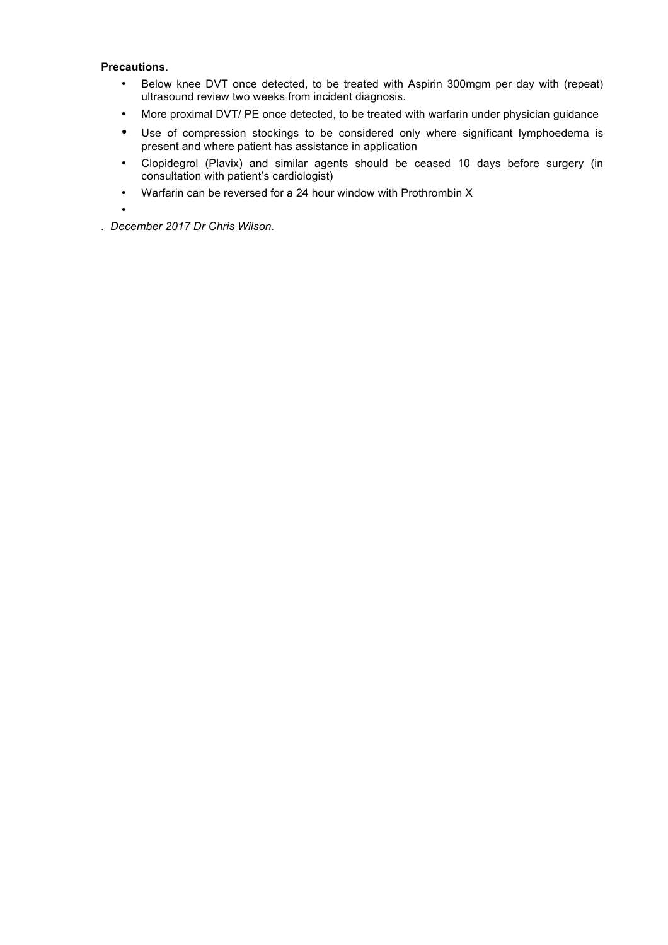#### **Precautions**.

- Below knee DVT once detected, to be treated with Aspirin 300mgm per day with (repeat) ultrasound review two weeks from incident diagnosis.
- More proximal DVT/ PE once detected, to be treated with warfarin under physician guidance
- Use of compression stockings to be considered only where significant lymphoedema is present and where patient has assistance in application
- Clopidegrol (Plavix) and similar agents should be ceased 10 days before surgery (in consultation with patient's cardiologist)
- Warfarin can be reversed for a 24 hour window with Prothrombin X

•

*. December 2017 Dr Chris Wilson.*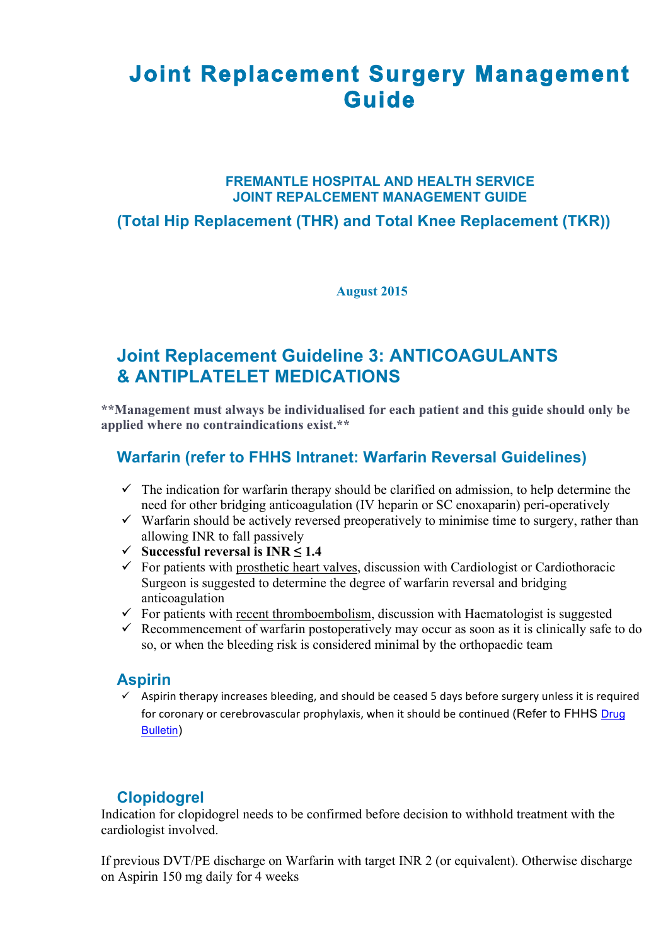# **Joint Replacement Surgery Management Guide**

## **FREMANTLE HOSPITAL AND HEALTH SERVICE JOINT REPALCEMENT MANAGEMENT GUIDE**

## **(Total Hip Replacement (THR) and Total Knee Replacement (TKR))**

**August 2015**

## **Joint Replacement Guideline 3: ANTICOAGULANTS & ANTIPLATELET MEDICATIONS**

**\*\*Management must always be individualised for each patient and this guide should only be applied where no contraindications exist.\*\***

## **Warfarin (refer to FHHS Intranet: Warfarin Reversal Guidelines)**

- $\checkmark$  The indication for warfarin therapy should be clarified on admission, to help determine the need for other bridging anticoagulation (IV heparin or SC enoxaparin) peri-operatively
- $\checkmark$  Warfarin should be actively reversed preoperatively to minimise time to surgery, rather than allowing INR to fall passively
- ü **Successful reversal is INR ≤ 1.4**
- $\checkmark$  For patients with prosthetic heart valves, discussion with Cardiologist or Cardiothoracic Surgeon is suggested to determine the degree of warfarin reversal and bridging anticoagulation
- $\checkmark$  For patients with recent thromboembolism, discussion with Haematologist is suggested
- $\checkmark$  Recommencement of warfarin postoperatively may occur as soon as it is clinically safe to do so, or when the bleeding risk is considered minimal by the orthopaedic team

## **Aspirin**

 $\checkmark$  Aspirin therapy increases bleeding, and should be ceased 5 days before surgery unless it is required for coronary or cerebrovascular prophylaxis, when it should be continued (Refer to FHHS Drug Bulletin)

## **Clopidogrel**

Indication for clopidogrel needs to be confirmed before decision to withhold treatment with the cardiologist involved.

If previous DVT/PE discharge on Warfarin with target INR 2 (or equivalent). Otherwise discharge on Aspirin 150 mg daily for 4 weeks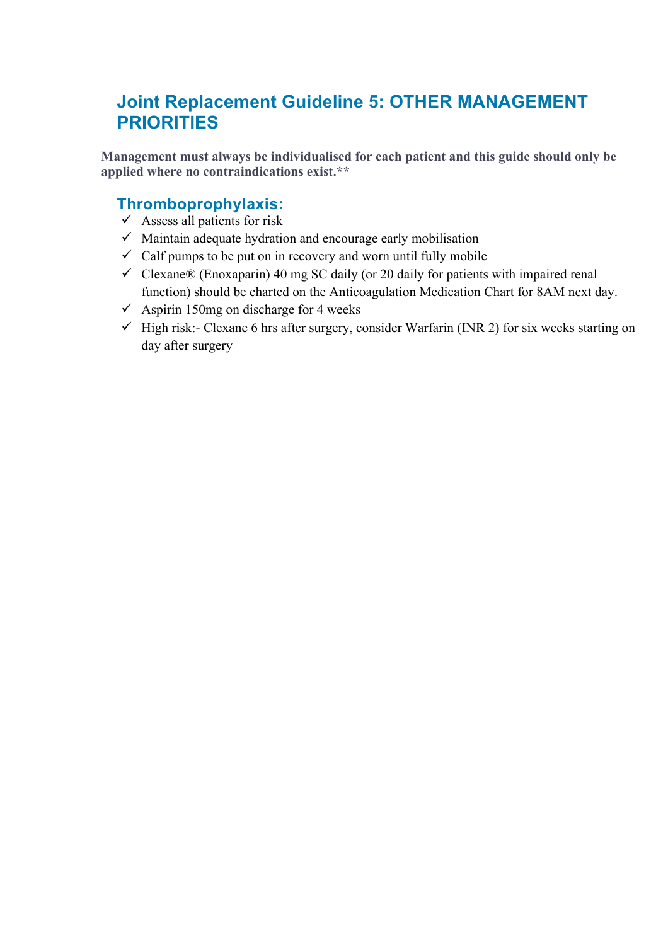# **Joint Replacement Guideline 5: OTHER MANAGEMENT PRIORITIES**

**Management must always be individualised for each patient and this guide should only be applied where no contraindications exist.\*\***

## **Thromboprophylaxis:**

- $\checkmark$  Assess all patients for risk
- $\checkmark$  Maintain adequate hydration and encourage early mobilisation
- $\checkmark$  Calf pumps to be put on in recovery and worn until fully mobile
- $\checkmark$  Clexane® (Enoxaparin) 40 mg SC daily (or 20 daily for patients with impaired renal function) should be charted on the Anticoagulation Medication Chart for 8AM next day.
- $\checkmark$  Aspirin 150mg on discharge for 4 weeks
- $\checkmark$  High risk:- Clexane 6 hrs after surgery, consider Warfarin (INR 2) for six weeks starting on day after surgery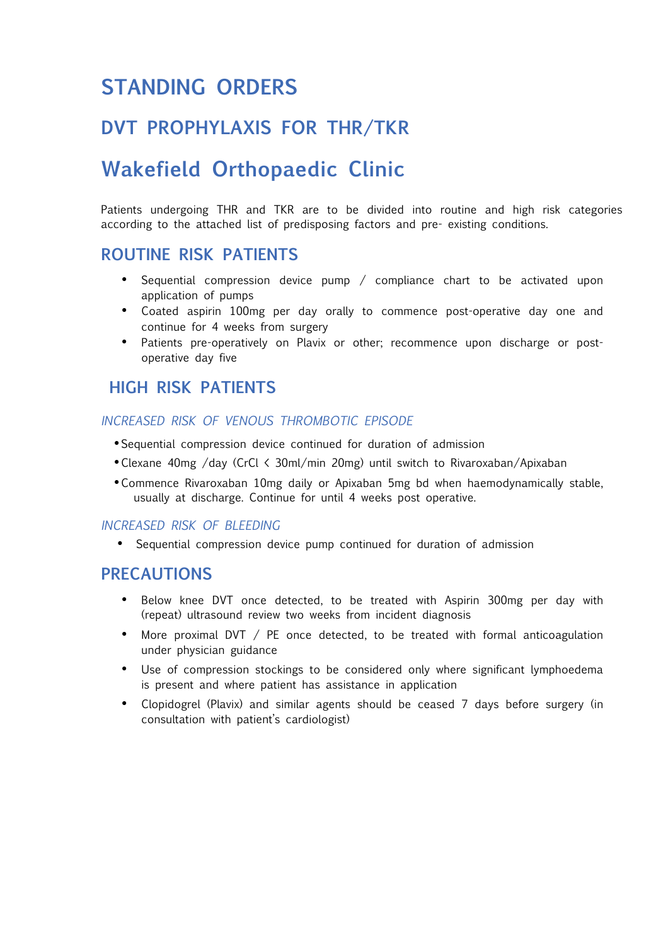# **STANDING ORDERS**

# **DVT PROPHYLAXIS FOR THR/TKR**

# **Wakefield Orthopaedic Clinic**

Patients undergoing THR and TKR are to be divided into routine and high risk categories according to the attached list of predisposing factors and pre- existing conditions.

## **ROUTINE RISK PATIENTS**

- Sequential compression device pump / compliance chart to be activated upon application of pumps
- Coated aspirin 100mg per day orally to commence post-operative day one and continue for 4 weeks from surgery
- Patients pre-operatively on Plavix or other; recommence upon discharge or postoperative day five

## **HIGH RISK PATIENTS**

## *INCREASED RISK OF VENOUS THROMBOTIC EPISODE*

- •Sequential compression device continued for duration of admission
- •Clexane 40mg /day (CrCl < 30ml/min 20mg) until switch to Rivaroxaban/Apixaban
- •Commence Rivaroxaban 10mg daily or Apixaban 5mg bd when haemodynamically stable, usually at discharge. Continue for until 4 weeks post operative.

## *INCREASED RISK OF BLEEDING*

• Sequential compression device pump continued for duration of admission

## **PRECAUTIONS**

- Below knee DVT once detected, to be treated with Aspirin 300mg per day with (repeat) ultrasound review two weeks from incident diagnosis
- More proximal DVT / PE once detected, to be treated with formal anticoagulation under physician guidance
- Use of compression stockings to be considered only where significant lymphoedema is present and where patient has assistance in application
- Clopidogrel (Plavix) and similar agents should be ceased 7 days before surgery (in consultation with patient's cardiologist)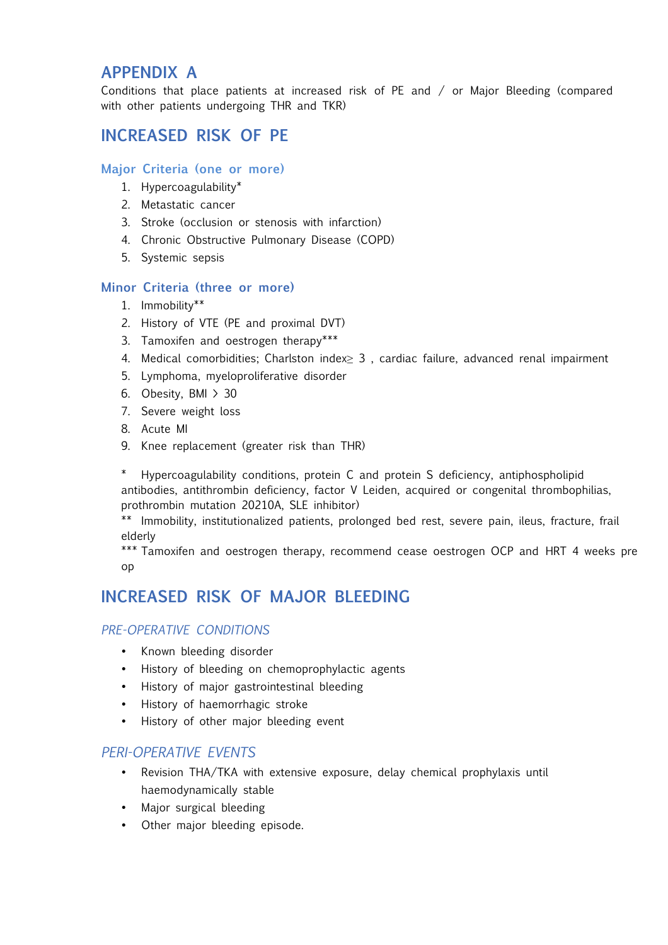## **APPENDIX A**

Conditions that place patients at increased risk of PE and / or Major Bleeding (compared with other patients undergoing THR and TKR)

## **INCREASED RISK OF PE**

## **Major Criteria (one or more)**

- 1. Hypercoagulability\*
- 2. Metastatic cancer
- 3. Stroke (occlusion or stenosis with infarction)
- 4. Chronic Obstructive Pulmonary Disease (COPD)
- 5. Systemic sepsis

## **Minor Criteria (three or more)**

- 1. Immobility\*\*
- 2. History of VTE (PE and proximal DVT)
- 3. Tamoxifen and oestrogen therapy\*\*\*
- 4. Medical comorbidities; Charlston index≥ 3 , cardiac failure, advanced renal impairment
- 5. Lymphoma, myeloproliferative disorder
- 6. Obesity, BMI > 30
- 7. Severe weight loss
- 8. Acute MI
- 9. Knee replacement (greater risk than THR)

Hypercoagulability conditions, protein C and protein S deficiency, antiphospholipid antibodies, antithrombin deficiency, factor V Leiden, acquired or congenital thrombophilias, prothrombin mutation 20210A, SLE inhibitor)

\*\* Immobility, institutionalized patients, prolonged bed rest, severe pain, ileus, fracture, frail elderly

\*\*\* Tamoxifen and oestrogen therapy, recommend cease oestrogen OCP and HRT 4 weeks pre op

## **INCREASED RISK OF MAJOR BLEEDING**

## *PRE-OPERATIVE CONDITIONS*

- Known bleeding disorder
- History of bleeding on chemoprophylactic agents
- History of major gastrointestinal bleeding
- History of haemorrhagic stroke
- History of other major bleeding event

## *PERI-OPERATIVE EVENTS*

- Revision THA/TKA with extensive exposure, delay chemical prophylaxis until haemodynamically stable
- Major surgical bleeding
- Other major bleeding episode.